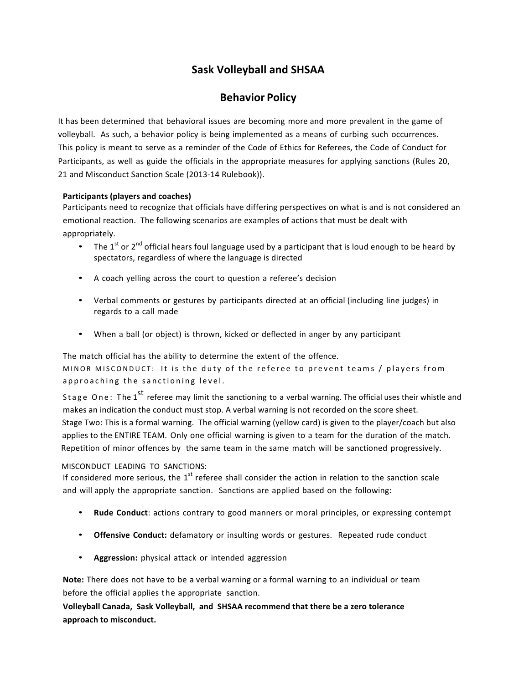# **Sask Volleyball and SHSAA**

## **Behavior Policy**

It has been determined that behavioral issues are becoming more and more prevalent in the game of volleyball. As such, a behavior policy is being implemented as a means of curbing such occurrences. This policy is meant to serve as a reminder of the Code of Ethics for Referees, the Code of Conduct for Participants, as well as guide the officials in the appropriate measures for applying sanctions (Rules 20, 21 and Misconduct Sanction Scale (2013-14 Rulebook)).

#### **Participants (players and coaches)**

Participants need to recognize that officials have differing perspectives on what is and is not considered an emotional reaction. The following scenarios are examples of actions that must be dealt with appropriately.

- The 1<sup>st</sup> or 2<sup>nd</sup> official hears foul language used by a participant that is loud enough to be heard by spectators, regardless of where the language is directed
- A coach yelling across the court to question a referee's decision
- Verbal comments or gestures by participants directed at an official (including line judges) in regards to a call made
- When a ball (or object) is thrown, kicked or deflected in anger by any participant

The match official has the ability to determine the extent of the offence. 

MINOR MISCONDUCT: It is the duty of the referee to prevent teams / players from approaching the sanctioning level.

Stage One: The 1<sup>st</sup> referee may limit the sanctioning to a verbal warning. The official uses their whistle and makes an indication the conduct must stop. A verbal warning is not recorded on the score sheet. Stage Two: This is a formal warning. The official warning (yellow card) is given to the player/coach but also applies to the ENTIRE TEAM. Only one official warning is given to a team for the duration of the match. Repetition of minor offences by the same team in the same match will be sanctioned progressively.

#### MISCONDUCT LEADING TO SANCTIONS:

If considered more serious, the  $1<sup>st</sup>$  referee shall consider the action in relation to the sanction scale and will apply the appropriate sanction. Sanctions are applied based on the following:

- **Rude Conduct**: actions contrary to good manners or moral principles, or expressing contempt
- **Offensive Conduct:** defamatory or insulting words or gestures. Repeated rude conduct
- **Aggression:** physical attack or intended aggression

**Note:** There does not have to be a verbal warning or a formal warning to an individual or team before the official applies the appropriate sanction.

**Volleyball Canada, Sask Volleyball, and SHSAA recommend that there be a zero tolerance** approach to misconduct.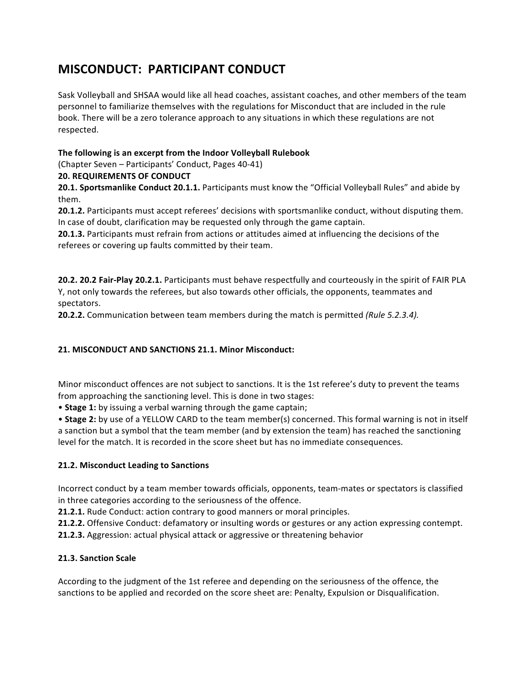# **MISCONDUCT: PARTICIPANT CONDUCT**

Sask Volleyball and SHSAA would like all head coaches, assistant coaches, and other members of the team personnel to familiarize themselves with the regulations for Misconduct that are included in the rule book. There will be a zero tolerance approach to any situations in which these regulations are not respected. 

## The following is an excerpt from the Indoor Volleyball Rulebook

(Chapter Seven - Participants' Conduct, Pages 40-41)

#### **20. REQUIREMENTS OF CONDUCT**

**20.1. Sportsmanlike Conduct 20.1.1.** Participants must know the "Official Volleyball Rules" and abide by them. 

**20.1.2.** Participants must accept referees' decisions with sportsmanlike conduct, without disputing them. In case of doubt, clarification may be requested only through the game captain.

**20.1.3.** Participants must refrain from actions or attitudes aimed at influencing the decisions of the referees or covering up faults committed by their team.

**20.2. 20.2 Fair-Play 20.2.1.** Participants must behave respectfully and courteously in the spirit of FAIR PLA Y, not only towards the referees, but also towards other officials, the opponents, teammates and spectators. 

**20.2.2.** Communication between team members during the match is permitted (Rule 5.2.3.4).

#### **21. MISCONDUCT AND SANCTIONS 21.1. Minor Misconduct:**

Minor misconduct offences are not subject to sanctions. It is the 1st referee's duty to prevent the teams from approaching the sanctioning level. This is done in two stages:

• Stage 1: by issuing a verbal warning through the game captain;

• Stage 2: by use of a YELLOW CARD to the team member(s) concerned. This formal warning is not in itself a sanction but a symbol that the team member (and by extension the team) has reached the sanctioning level for the match. It is recorded in the score sheet but has no immediate consequences.

#### **21.2. Misconduct Leading to Sanctions**

Incorrect conduct by a team member towards officials, opponents, team-mates or spectators is classified in three categories according to the seriousness of the offence.

**21.2.1.** Rude Conduct: action contrary to good manners or moral principles.

**21.2.2.** Offensive Conduct: defamatory or insulting words or gestures or any action expressing contempt.

**21.2.3.** Aggression: actual physical attack or aggressive or threatening behavior

#### **21.3. Sanction Scale**

According to the judgment of the 1st referee and depending on the seriousness of the offence, the sanctions to be applied and recorded on the score sheet are: Penalty, Expulsion or Disqualification.